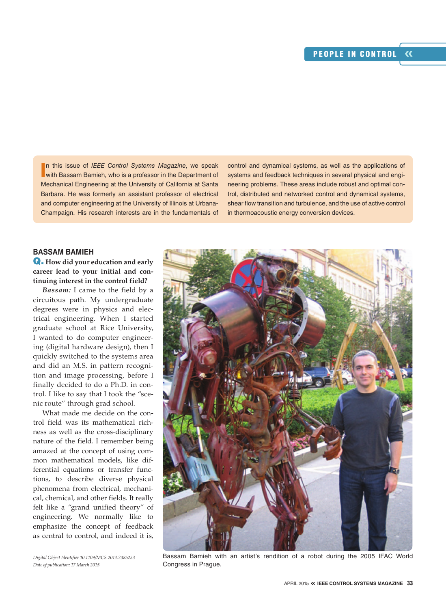In this issue of IEEE Control Systems Magazine, we speak<br>with Bassam Bamieh, who is a professor in the Department of In this issue of IEEE Control Systems Magazine, we speak Mechanical Engineering at the University of California at Santa Barbara. He was formerly an assistant professor of electrical and computer engineering at the University of Illinois at Urbana-Champaign. His research interests are in the fundamentals of control and dynamical systems, as well as the applications of systems and feedback techniques in several physical and engineering problems. These areas include robust and optimal control, distributed and networked control and dynamical systems, shear flow transition and turbulence, and the use of active control in thermoacoustic energy conversion devices.

### **BASSAM BAMIEH**

Q. **How did your education and early career lead to your initial and continuing interest in the control field?**

*Bassam:* I came to the field by a circuitous path. My undergraduate degrees were in physics and electrical engineering. When I started graduate school at Rice University, I wanted to do computer engineering (digital hardware design), then I quickly switched to the systems area and did an M.S. in pattern recognition and image processing, before I finally decided to do a Ph.D. in control. I like to say that I took the "scenic route" through grad school.

What made me decide on the control field was its mathematical richness as well as the cross-disciplinary nature of the field. I remember being amazed at the concept of using common mathematical models, like differential equations or transfer functions, to describe diverse physical phenomena from electrical, mechanical, chemical, and other fields. It really felt like a "grand unified theory'' of engineering. We normally like to emphasize the concept of feedback as central to control, and indeed it is,

*Digital Object Identifier 10.1109/MCS.2014.2385233 Date of publication: 17 March 2015*



Bassam Bamieh with an artist's rendition of a robot during the 2005 IFAC World Congress in Prague.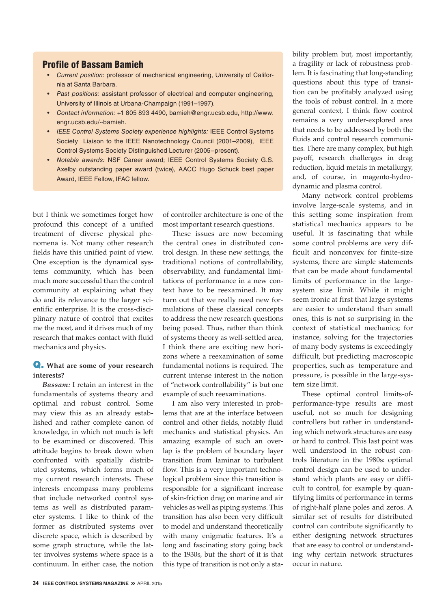## Profile of Bassam Bamieh

- Current position: professor of mechanical engineering, University of California at Santa Barbara.
- Past positions: assistant professor of electrical and computer engineering, University of Illinois at Urbana-Champaign (1991–1997).
- r Contact information: +1 805 893 4490, bamieh@engr.ucsb.edu, http://www. engr.ucsb.edu/~bamieh.
- IEEE Control Systems Society experience highlights: IEEE Control Systems Society Liaison to the IEEE Nanotechnology Council (2001–2009), IEEE Control Systems Society Distinguished Lecturer (2005–present).
- Notable awards: NSF Career award; IEEE Control Systems Society G.S. Axelby outstanding paper award (twice), AACC Hugo Schuck best paper Award, IEEE Fellow, IFAC fellow.

but I think we sometimes forget how profound this concept of a unified treatment of diverse physical phenomena is. Not many other research fields have this unified point of view. One exception is the dynamical systems community, which has been much more successful than the control community at explaining what they do and its relevance to the larger scientific enterprise. It is the cross-disciplinary nature of control that excites me the most, and it drives much of my research that makes contact with fluid mechanics and physics.

### Q. **What are some of your research interests?**

*Bassam:* I retain an interest in the fundamentals of systems theory and optimal and robust control. Some may view this as an already established and rather complete canon of knowledge, in which not much is left to be examined or discovered. This attitude begins to break down when confronted with spatially distributed systems, which forms much of my current research interests. These interests encompass many problems that include networked control systems as well as distributed parameter systems. I like to think of the former as distributed systems over discrete space, which is described by some graph structure, while the latter involves systems where space is a continuum. In either case, the notion

of controller architecture is one of the most important research questions.

These issues are now becoming the central ones in distributed control design. In these new settings, the traditional notions of controllability, observability, and fundamental limitations of performance in a new context have to be reexamined. It may turn out that we really need new formulations of these classical concepts to address the new research questions being posed. Thus, rather than think of systems theory as well-settled area, I think there are exciting new horizons where a reexamination of some fundamental notions is required. The current intense interest in the notion of "network controllability" is but one example of such reexaminations.

I am also very interested in problems that are at the interface between control and other fields, notably fluid mechanics and statistical physics. An amazing example of such an overlap is the problem of boundary layer transition from laminar to turbulent flow. This is a very important technological problem since this transition is responsible for a significant increase of skin-friction drag on marine and air vehicles as well as piping systems. This transition has also been very difficult to model and understand theoretically with many enigmatic features. It's a long and fascinating story going back to the 1930s, but the short of it is that this type of transition is not only a sta-

bility problem but, most importantly, a fragility or lack of robustness problem. It is fascinating that long-standing questions about this type of transition can be profitably analyzed using the tools of robust control. In a more general context, I think flow control remains a very under-explored area that needs to be addressed by both the fluids and control research communities. There are many complex, but high payoff, research challenges in drag reduction, liquid metals in metallurgy, and, of course, in magento-hydrodynamic and plasma control.

Many network control problems involve large-scale systems, and in this setting some inspiration from statistical mechanics appears to be useful. It is fascinating that while some control problems are very difficult and nonconvex for finite-size systems, there are simple statements that can be made about fundamental limits of performance in the largesystem size limit. While it might seem ironic at first that large systems are easier to understand than small ones, this is not so surprising in the context of statistical mechanics; for instance, solving for the trajectories of many body systems is exceedingly difficult, but predicting macroscopic properties, such as temperature and pressure, is possible in the large-system size limit.

These optimal control limits-ofperformance-type results are most useful, not so much for designing controllers but rather in understanding which network structures are easy or hard to control. This last point was well understood in the robust controls literature in the 1980s: optimal control design can be used to understand which plants are easy or difficult to control, for example by quantifying limits of performance in terms of right-half plane poles and zeros. A similar set of results for distributed control can contribute significantly to either designing network structures that are easy to control or understanding why certain network structures occur in nature.